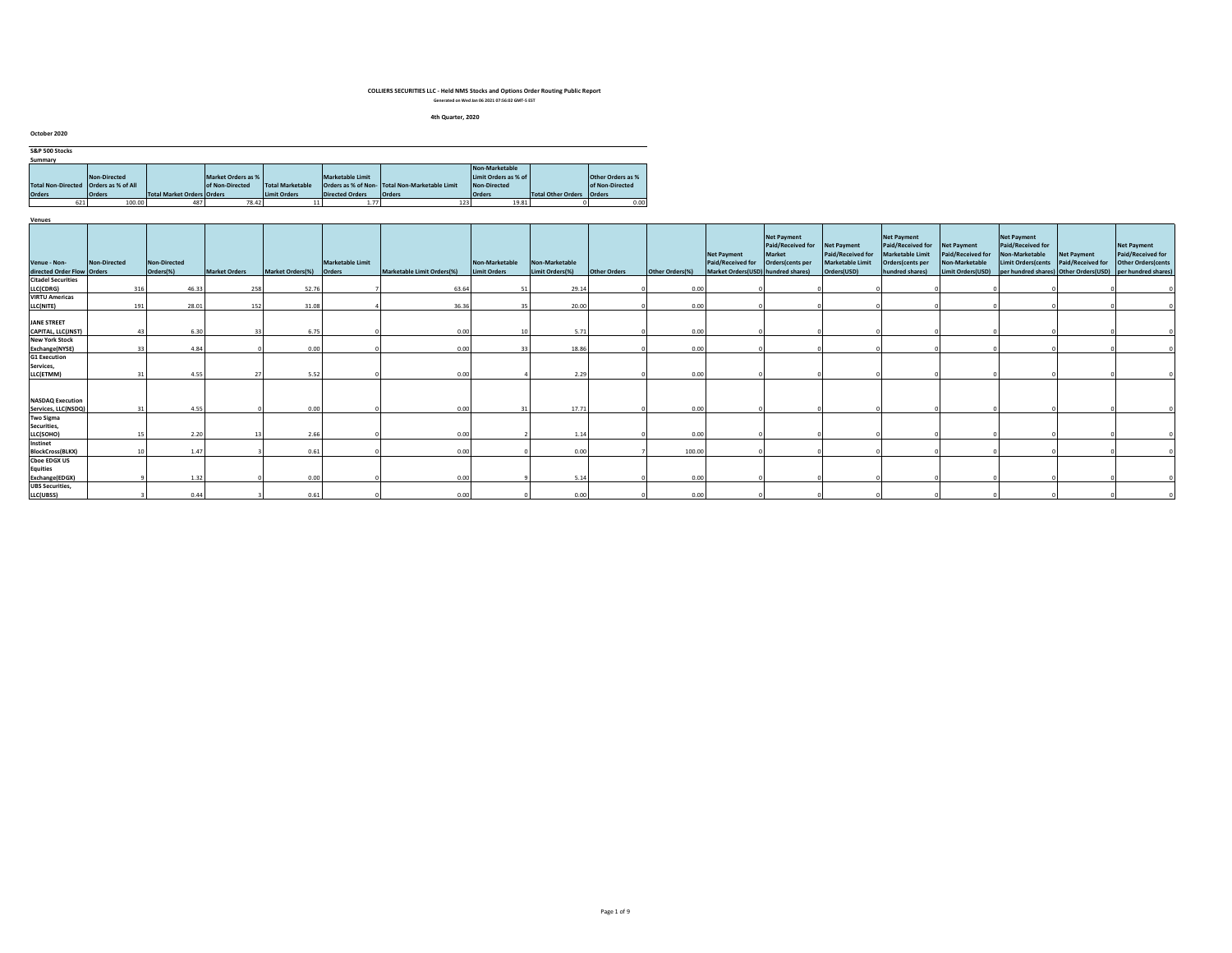#### **4th Quarter, 2020**

| October 2020              |                     |                                   |                    |                         |                         |                                                |                      |                    |                          |
|---------------------------|---------------------|-----------------------------------|--------------------|-------------------------|-------------------------|------------------------------------------------|----------------------|--------------------|--------------------------|
| S&P 500 Stocks            |                     |                                   |                    |                         |                         |                                                |                      |                    |                          |
| Summary                   |                     |                                   |                    |                         |                         |                                                |                      |                    |                          |
|                           |                     |                                   |                    |                         |                         |                                                | Non-Marketable       |                    |                          |
|                           | <b>Non-Directed</b> |                                   | Market Orders as % |                         | <b>Marketable Limit</b> |                                                | Limit Orders as % of |                    | <b>Other Orders as %</b> |
| <b>Total Non-Directed</b> | Orders as % of All  |                                   | of Non-Directed    | <b>Total Marketable</b> |                         | Orders as % of Non- Total Non-Marketable Limit | Non-Directed         |                    | of Non-Directed          |
| <b>Orders</b>             | <b>Orders</b>       | <b>Total Market Orders Orders</b> |                    | Limit Orders            | <b>Directed Orders</b>  | <b>Orders</b>                                  | <b>Orders</b>        | Total Other Orders | <b>Orders</b>            |
| 621                       | 100.00              | 487                               | 78.42              |                         | 1.77                    | 123                                            | 19.81                |                    | 0.00                     |

| Venue - Non-                             | Non-Directed | Non-Directed |                      |                         | <b>Marketable Limit</b> |                            | Non-Marketable | Non-Marketable  |                     |                 | Net Payment<br>Paid/Received for Orders(cents per | <b>Net Payment</b><br>Paid/Received for<br><b>Market</b> | Net Payment<br>Paid/Received for<br>Marketable Limit | <b>Net Payment</b><br>Paid/Received for<br>Marketable Limit<br>Orders(cents per | <b>Net Payment</b><br>Paid/Received for<br>Non-Marketable | <b>Net Payment</b><br>Paid/Received for<br>Non-Marketable<br>Limit Orders(cents | <b>Net Payment</b><br>Paid/Received for | <b>Net Payment</b><br>Paid/Received for<br><b>Other Orders (cents</b> |
|------------------------------------------|--------------|--------------|----------------------|-------------------------|-------------------------|----------------------------|----------------|-----------------|---------------------|-----------------|---------------------------------------------------|----------------------------------------------------------|------------------------------------------------------|---------------------------------------------------------------------------------|-----------------------------------------------------------|---------------------------------------------------------------------------------|-----------------------------------------|-----------------------------------------------------------------------|
| directed Order Flow Orders               |              | Orders(%)    | <b>Market Orders</b> | Market Orders(%) Orders |                         | Marketable Limit Orders(%) | Limit Orders   | Limit Orders(%) | <b>Other Orders</b> | Other Orders(%) | Market Orders(USD) hundred shares)                |                                                          | Orders(USD)                                          | hundred shares)                                                                 | Limit Orders(USD)                                         |                                                                                 |                                         | per hundred shares) Other Orders(USD) per hundred shares)             |
| <b>Citadel Securities</b>                |              |              |                      |                         |                         |                            |                |                 |                     |                 |                                                   |                                                          |                                                      |                                                                                 |                                                           |                                                                                 |                                         |                                                                       |
| LLC(CDRG)                                | 316          | 46.33        | 258                  | 52.76                   |                         | 63.64                      |                | 29.14           |                     | 0.00            |                                                   |                                                          |                                                      |                                                                                 |                                                           |                                                                                 |                                         |                                                                       |
| <b>VIRTU Americas</b>                    |              |              |                      |                         |                         |                            |                |                 |                     |                 |                                                   |                                                          |                                                      |                                                                                 |                                                           |                                                                                 |                                         |                                                                       |
| LLC(NITE)                                | 191          | 28.01        | 152                  | 31.08                   |                         | 36.36                      |                | 20.00           |                     | 0.00            |                                                   |                                                          |                                                      |                                                                                 |                                                           |                                                                                 |                                         |                                                                       |
|                                          |              |              |                      |                         |                         |                            |                |                 |                     |                 |                                                   |                                                          |                                                      |                                                                                 |                                                           |                                                                                 |                                         |                                                                       |
| <b>JANE STREET</b>                       |              |              |                      |                         |                         |                            |                |                 |                     |                 |                                                   |                                                          |                                                      |                                                                                 |                                                           |                                                                                 |                                         |                                                                       |
| CAPITAL, LLC(JNST)                       |              | 6.30         |                      | 6.75                    |                         | 0.00                       |                | 5.71            |                     | 0.00            |                                                   |                                                          |                                                      |                                                                                 |                                                           |                                                                                 |                                         |                                                                       |
| <b>New York Stock</b><br>Exchange(NYSE)  |              | 4.84         |                      | 0.00                    |                         | 0.00                       |                | 18.86           |                     | 0.00            |                                                   |                                                          |                                                      |                                                                                 |                                                           |                                                                                 |                                         |                                                                       |
| <b>G1 Execution</b>                      |              |              |                      |                         |                         |                            |                |                 |                     |                 |                                                   |                                                          |                                                      |                                                                                 |                                                           |                                                                                 |                                         |                                                                       |
| Services,                                |              |              |                      |                         |                         |                            |                |                 |                     |                 |                                                   |                                                          |                                                      |                                                                                 |                                                           |                                                                                 |                                         |                                                                       |
| LLC(ETMM)                                |              | 4.55         |                      | 5.52                    |                         | 0.00                       |                | 2.29            |                     | 0.00            |                                                   |                                                          |                                                      |                                                                                 |                                                           |                                                                                 |                                         |                                                                       |
| <b>NASDAQ Execution</b>                  |              |              |                      |                         |                         |                            |                |                 |                     |                 |                                                   |                                                          |                                                      |                                                                                 |                                                           |                                                                                 |                                         |                                                                       |
| Services, LLC(NSDQ)                      |              | 4.55         |                      | 0.00                    |                         | 0.00                       |                | 17.71           |                     | 0.00            |                                                   |                                                          |                                                      |                                                                                 |                                                           |                                                                                 |                                         |                                                                       |
| <b>Two Sigma</b>                         |              |              |                      |                         |                         |                            |                |                 |                     |                 |                                                   |                                                          |                                                      |                                                                                 |                                                           |                                                                                 |                                         |                                                                       |
| Securities,                              |              |              |                      |                         |                         |                            |                |                 |                     |                 |                                                   |                                                          |                                                      |                                                                                 |                                                           |                                                                                 |                                         |                                                                       |
| LLC(SOHO)                                |              | 2.20         |                      | 2.66                    |                         | 0.00                       |                | 1.14            |                     | 0.00            |                                                   |                                                          |                                                      |                                                                                 |                                                           |                                                                                 |                                         |                                                                       |
| Instinet                                 |              |              |                      |                         |                         |                            |                |                 |                     |                 |                                                   |                                                          |                                                      |                                                                                 |                                                           |                                                                                 |                                         |                                                                       |
| <b>BlockCross(BLKX)</b>                  |              | 1.47         |                      | 0.6                     |                         | 0.00                       |                | 0.00            |                     | 100.00          |                                                   |                                                          |                                                      |                                                                                 |                                                           |                                                                                 |                                         |                                                                       |
| <b>Cboe EDGX US</b>                      |              |              |                      |                         |                         |                            |                |                 |                     |                 |                                                   |                                                          |                                                      |                                                                                 |                                                           |                                                                                 |                                         |                                                                       |
| <b>Equities</b>                          |              |              |                      |                         |                         |                            |                |                 |                     |                 |                                                   |                                                          |                                                      |                                                                                 |                                                           |                                                                                 |                                         |                                                                       |
| Exchange(EDGX)<br><b>UBS</b> Securities, |              | 1.32         |                      | 0.00                    |                         | 0.00                       |                | 5.14            |                     | 0.00            |                                                   |                                                          |                                                      |                                                                                 |                                                           |                                                                                 |                                         |                                                                       |
| LLC(UBSS)                                |              | 0.44         |                      | 0.61                    |                         | 0.00                       |                | 0.00            |                     | 0.00            |                                                   |                                                          |                                                      |                                                                                 |                                                           |                                                                                 |                                         |                                                                       |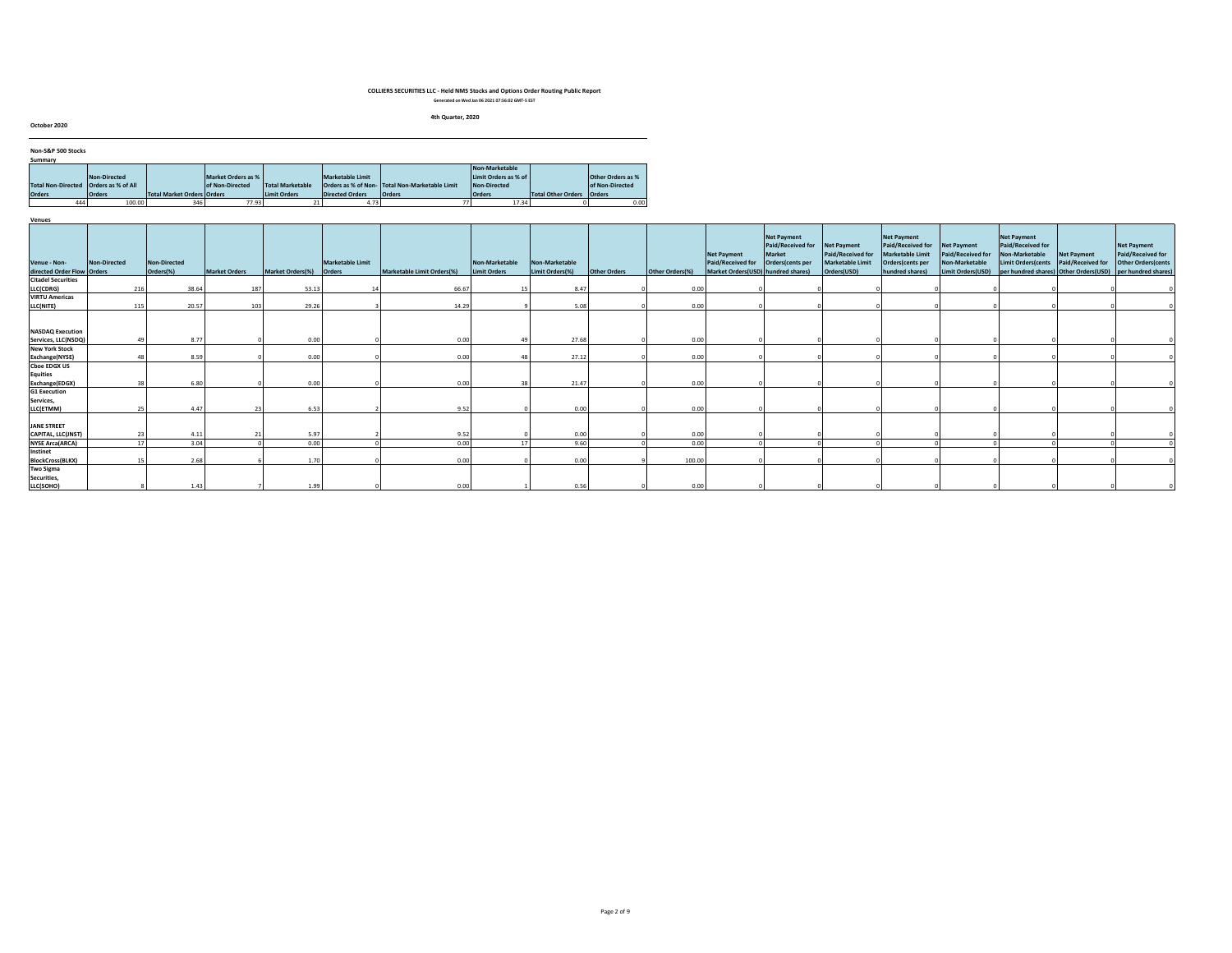#### **4th Quarter, 2020**

**October 2020**

| Non-S&P 500 Stocks        |                    |                            |                    |                         |                  |                                                |                      |                           |                   |
|---------------------------|--------------------|----------------------------|--------------------|-------------------------|------------------|------------------------------------------------|----------------------|---------------------------|-------------------|
| Summary                   |                    |                            |                    |                         |                  |                                                |                      |                           |                   |
|                           |                    |                            |                    |                         |                  |                                                | Non-Marketable       |                           |                   |
|                           | Non-Directed       |                            | Market Orders as % |                         | Marketable Limit |                                                | Limit Orders as % of |                           | Other Orders as % |
| <b>Total Non-Directed</b> | Orders as % of All |                            | of Non-Directed    | <b>Total Marketable</b> |                  | Orders as % of Non- Total Non-Marketable Limit | Non-Directed         |                           | of Non-Directed   |
| <b>Orders</b>             | <b>Orders</b>      | Total Market Orders Orders |                    | <b>Limit Orders</b>     | Directed Orders  | <b>Orders</b>                                  | <b>Orders</b>        | <b>Total Other Orders</b> | <b>Orders</b>     |
| 444                       | 100.00             | 346                        | 77.93              |                         | 4.73             |                                                | 17.34                |                           | 0.00              |

|                            |              |              |                      |                  |                  |                            |                     |                 |                     |                 |                                    | <b>Net Payment</b><br>Paid/Received for | Net Payment       | <b>Net Payment</b><br>Paid/Received for | Net Payment           | <b>Net Payment</b><br>Paid/Received for |                                       | <b>Net Payment</b>         |  |
|----------------------------|--------------|--------------|----------------------|------------------|------------------|----------------------------|---------------------|-----------------|---------------------|-----------------|------------------------------------|-----------------------------------------|-------------------|-----------------------------------------|-----------------------|-----------------------------------------|---------------------------------------|----------------------------|--|
|                            |              |              |                      |                  |                  |                            |                     |                 |                     |                 | <b>Net Payment</b>                 | <b>Market</b>                           | Paid/Received for | Marketable Limit                        | Paid/Received for     | Non-Marketable                          | Net Payment                           | Paid/Received for          |  |
| Venue - Non-               | Non-Directed | Non-Directed |                      |                  | Marketable Limit |                            | Non-Marketable      | Non-Marketable  |                     |                 | Paid/Received for                  | Orders(cents per                        | Marketable Limit  | Orders(cents per                        | <b>Non-Marketable</b> | <b>Limit Orders (cents</b>              | Paid/Received for                     | <b>Other Orders (cents</b> |  |
| directed Order Flow Orders |              | Orders(%)    | <b>Market Orders</b> | Market Orders(%) | Orders           | Marketable Limit Orders(%) | <b>Limit Orders</b> | Limit Orders(%) | <b>Other Orders</b> | Other Orders(%) | Market Orders(USD) hundred shares) |                                         | Orders(USD)       | hundred shares)                         | Limit Orders(USD)     |                                         | per hundred shares) Other Orders(USD) | per hundred shares)        |  |
| <b>Citadel Securities</b>  |              |              |                      |                  |                  |                            |                     |                 |                     |                 |                                    |                                         |                   |                                         |                       |                                         |                                       |                            |  |
| LLC(CDRG)                  | 216          | 38.64        | 187                  | 53.1             |                  | 66.67                      |                     | 8.47            |                     | 0.00            |                                    |                                         |                   |                                         |                       |                                         |                                       |                            |  |
| <b>VIRTU Americas</b>      |              |              |                      |                  |                  |                            |                     |                 |                     |                 |                                    |                                         |                   |                                         |                       |                                         |                                       |                            |  |
| LLC(NITE)                  | 115          | 20.57        | 103                  | 29.26            |                  | 14.29                      |                     | 5.08            |                     | 0.00            |                                    |                                         |                   |                                         |                       |                                         |                                       |                            |  |
|                            |              |              |                      |                  |                  |                            |                     |                 |                     |                 |                                    |                                         |                   |                                         |                       |                                         |                                       |                            |  |
| <b>NASDAQ Execution</b>    |              |              |                      |                  |                  |                            |                     |                 |                     |                 |                                    |                                         |                   |                                         |                       |                                         |                                       |                            |  |
| Services, LLC(NSDQ)        | 49           | 8.77         |                      | 0.00             |                  | 0.00                       | 49                  | 27.68           |                     | 0.00            |                                    |                                         |                   |                                         |                       |                                         |                                       |                            |  |
| <b>New York Stock</b>      |              |              |                      |                  |                  |                            |                     |                 |                     |                 |                                    |                                         |                   |                                         |                       |                                         |                                       |                            |  |
| Exchange(NYSE)             |              | 8.59         |                      | 0.00             |                  | 0.00                       | 48                  | 27.12           |                     | 0.00            |                                    |                                         |                   |                                         |                       |                                         |                                       |                            |  |
| <b>Cboe EDGX US</b>        |              |              |                      |                  |                  |                            |                     |                 |                     |                 |                                    |                                         |                   |                                         |                       |                                         |                                       |                            |  |
| <b>Equities</b>            |              |              |                      |                  |                  |                            |                     |                 |                     |                 |                                    |                                         |                   |                                         |                       |                                         |                                       |                            |  |
| Exchange(EDGX)             |              | 6.80         |                      | 0.00             |                  | 0.00                       | 38                  | 21.47           |                     | 0.00            |                                    |                                         |                   |                                         |                       |                                         |                                       |                            |  |
| <b>G1 Execution</b>        |              |              |                      |                  |                  |                            |                     |                 |                     |                 |                                    |                                         |                   |                                         |                       |                                         |                                       |                            |  |
| Services,                  |              |              |                      |                  |                  |                            |                     |                 |                     |                 |                                    |                                         |                   |                                         |                       |                                         |                                       |                            |  |
| LLC(ETMM)                  |              | 4.47         | 23                   | 6.53             |                  | 9.52                       |                     | 0.00            |                     | 0.00            |                                    |                                         |                   |                                         |                       |                                         |                                       |                            |  |
|                            |              |              |                      |                  |                  |                            |                     |                 |                     |                 |                                    |                                         |                   |                                         |                       |                                         |                                       |                            |  |
| <b>JANE STREET</b>         |              |              |                      |                  |                  |                            |                     |                 |                     |                 |                                    |                                         |                   |                                         |                       |                                         |                                       |                            |  |
| CAPITAL, LLC(JNST)         | 23           | 4.11         |                      | 5.97             |                  | 9.52                       |                     | 0.00            |                     | 0.00            |                                    |                                         |                   |                                         |                       |                                         |                                       |                            |  |
| <b>NYSE Arca(ARCA)</b>     | 17           | 3.04         |                      | 0.00             |                  | 0.00                       | 17                  | 9.60            |                     | 0.00            |                                    |                                         |                   |                                         |                       |                                         |                                       |                            |  |
| Instinet                   |              |              |                      |                  |                  |                            |                     |                 |                     |                 |                                    |                                         |                   |                                         |                       |                                         |                                       |                            |  |
| <b>BlockCross(BLKX)</b>    |              | 2.68         |                      | 1.70             |                  | 0.00                       |                     | 0.00            |                     | 100.00          |                                    |                                         |                   |                                         |                       |                                         |                                       |                            |  |
| <b>Two Sigma</b>           |              |              |                      |                  |                  |                            |                     |                 |                     |                 |                                    |                                         |                   |                                         |                       |                                         |                                       |                            |  |
| Securities,                |              |              |                      |                  |                  |                            |                     |                 |                     |                 |                                    |                                         |                   |                                         |                       |                                         |                                       |                            |  |
| LLC(SOHO)                  |              | 1.43         |                      | 1.99             |                  | 0.00                       |                     | 0.56            |                     | 0.00            |                                    |                                         |                   |                                         |                       |                                         |                                       |                            |  |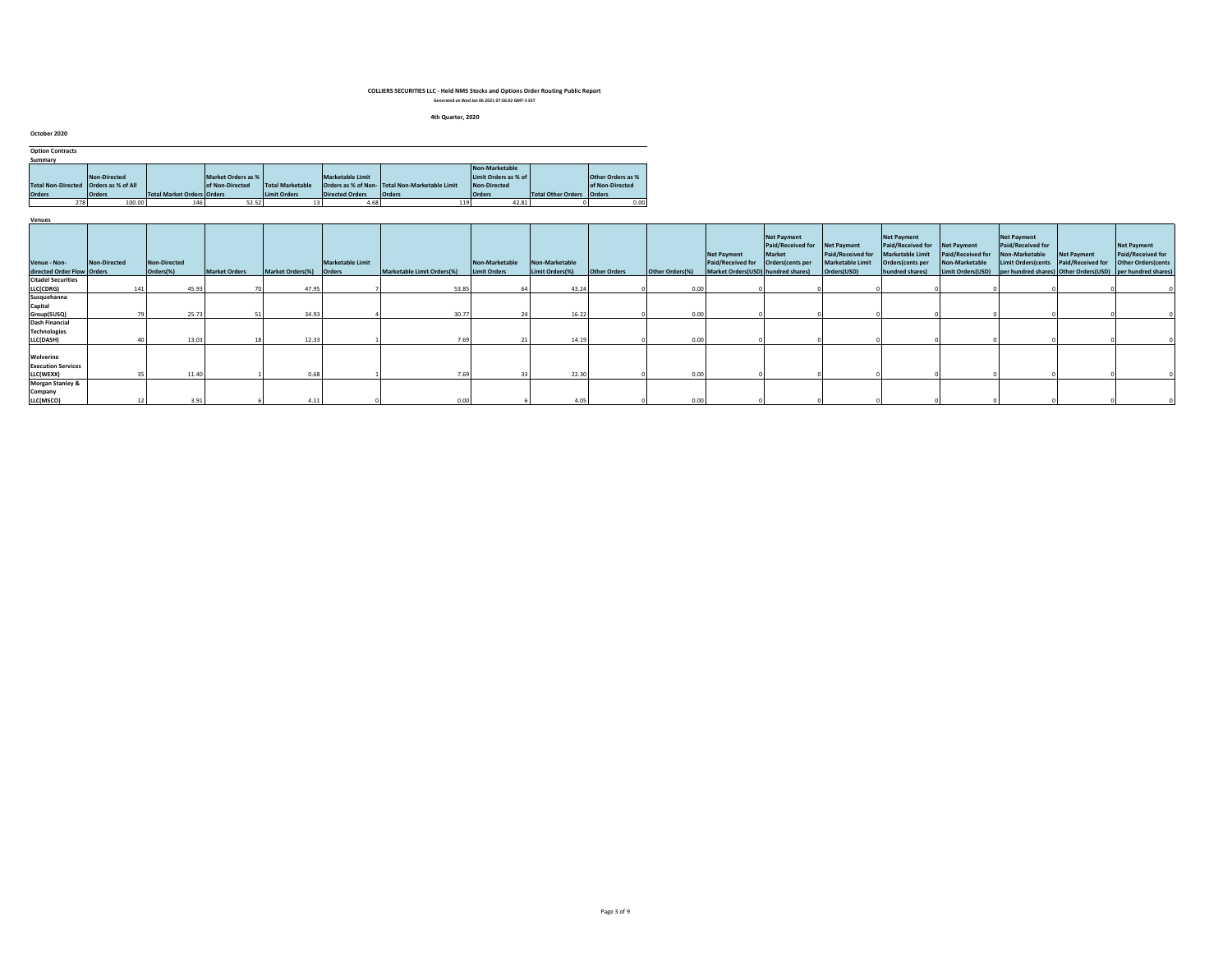#### **4th Quarter, 2020**

| October 2020              |                    |                                   |                    |                         |                         |                                               |                       |                           |                          |
|---------------------------|--------------------|-----------------------------------|--------------------|-------------------------|-------------------------|-----------------------------------------------|-----------------------|---------------------------|--------------------------|
| <b>Option Contracts</b>   |                    |                                   |                    |                         |                         |                                               |                       |                           |                          |
| Summary                   |                    |                                   |                    |                         |                         |                                               |                       |                           |                          |
|                           |                    |                                   |                    |                         |                         |                                               | <b>Non-Marketable</b> |                           |                          |
|                           | Non-Directed       |                                   | Market Orders as % |                         | <b>Marketable Limit</b> |                                               | Limit Orders as % of  |                           | <b>Other Orders as %</b> |
| <b>Total Non-Directed</b> | Orders as % of All |                                   | of Non-Directed    | <b>Total Marketable</b> |                         | Orders as % of Non-Total Non-Marketable Limit | <b>Non-Directed</b>   |                           | of Non-Directed          |
| <b>Orders</b>             | <b>Orders</b>      | <b>Total Market Orders Orders</b> |                    | <b>Limit Orders</b>     | <b>Directed Orders</b>  | <b>Orders</b>                                 | <b>Orders</b>         | <b>Total Other Orders</b> | <b>Orders</b>            |
| 278                       | 100.00             | 146                               | 52.52              |                         | 4.68                    | 119                                           | 42.81                 |                           | 0.00                     |

| Venues                                     |              |                                  |                      |                  |                                   |                            |                                |                                   |                     |                 |                                                                               |                                                                              |                                                                     |                                                                                                           |                                                                         |                                                           |                                                                                                                         |                                                               |
|--------------------------------------------|--------------|----------------------------------|----------------------|------------------|-----------------------------------|----------------------------|--------------------------------|-----------------------------------|---------------------|-----------------|-------------------------------------------------------------------------------|------------------------------------------------------------------------------|---------------------------------------------------------------------|-----------------------------------------------------------------------------------------------------------|-------------------------------------------------------------------------|-----------------------------------------------------------|-------------------------------------------------------------------------------------------------------------------------|---------------------------------------------------------------|
| Venue - Non-<br>directed Order Flow Orders | Non-Directed | <b>Non-Directed</b><br>Orders(%) | <b>Market Orders</b> | Market Orders(%) | Marketable Limit<br><b>Orders</b> | Marketable Limit Orders(%) | Non-Marketable<br>Limit Orders | Non-Marketable<br>Limit Orders(%) | <b>Other Orders</b> | Other Orders(%) | <b>Net Payment</b><br>Paid/Received for<br>Market Orders(USD) hundred shares) | <b>Net Payment</b><br>Paid/Received for<br><b>Market</b><br>Orders(cents per | Net Payment<br>Paid/Received for<br>Marketable Limit<br>Orders(USD) | <b>Net Payment</b><br>Paid/Received for<br><b>Marketable Limit</b><br>Orders(cents per<br>hundred shares) | Net Payment<br>Paid/Received for<br>Non-Marketable<br>Limit Orders(USD) | <b>Net Payment</b><br>Paid/Received for<br>Non-Marketable | <b>Net Payment</b><br>Limit Orders(cents Paid/Received for<br>per hundred shares) Other Orders(USD) per hundred shares) | <b>Net Payment</b><br>Paid/Received for<br>Other Orders(cents |
| <b>Citadel Securities</b>                  |              |                                  |                      |                  |                                   |                            |                                |                                   |                     |                 |                                                                               |                                                                              |                                                                     |                                                                                                           |                                                                         |                                                           |                                                                                                                         |                                                               |
| LLC(CDRG)                                  | 141          | 45.93                            |                      | 47.95            |                                   | 53.85                      |                                | 43.24                             |                     | n no            |                                                                               |                                                                              |                                                                     |                                                                                                           |                                                                         |                                                           |                                                                                                                         |                                                               |
| Susquehanna                                |              |                                  |                      |                  |                                   |                            |                                |                                   |                     |                 |                                                                               |                                                                              |                                                                     |                                                                                                           |                                                                         |                                                           |                                                                                                                         |                                                               |
| Capital                                    |              |                                  |                      |                  |                                   |                            |                                |                                   |                     |                 |                                                                               |                                                                              |                                                                     |                                                                                                           |                                                                         |                                                           |                                                                                                                         |                                                               |
| Group(SUSQ)                                |              | 25.73                            |                      | 34.93            |                                   | 30.77                      |                                | 16.22                             |                     | n no            |                                                                               |                                                                              |                                                                     |                                                                                                           |                                                                         |                                                           |                                                                                                                         |                                                               |
| <b>Dash Financial</b>                      |              |                                  |                      |                  |                                   |                            |                                |                                   |                     |                 |                                                                               |                                                                              |                                                                     |                                                                                                           |                                                                         |                                                           |                                                                                                                         |                                                               |
| <b>Technologies</b>                        |              |                                  |                      |                  |                                   |                            |                                |                                   |                     |                 |                                                                               |                                                                              |                                                                     |                                                                                                           |                                                                         |                                                           |                                                                                                                         |                                                               |
| LLC(DASH)                                  |              | 13.03                            |                      | 12.33            |                                   | 7.69                       |                                | 14.19                             |                     | 0.00            |                                                                               |                                                                              |                                                                     |                                                                                                           |                                                                         |                                                           |                                                                                                                         |                                                               |
|                                            |              |                                  |                      |                  |                                   |                            |                                |                                   |                     |                 |                                                                               |                                                                              |                                                                     |                                                                                                           |                                                                         |                                                           |                                                                                                                         |                                                               |
| Wolverine                                  |              |                                  |                      |                  |                                   |                            |                                |                                   |                     |                 |                                                                               |                                                                              |                                                                     |                                                                                                           |                                                                         |                                                           |                                                                                                                         |                                                               |
| <b>Execution Services</b>                  |              |                                  |                      |                  |                                   |                            |                                |                                   |                     |                 |                                                                               |                                                                              |                                                                     |                                                                                                           |                                                                         |                                                           |                                                                                                                         |                                                               |
| LLC(WEXX)                                  |              | 11.40                            |                      | 0.65             |                                   | 7.69                       |                                | 22.30                             |                     | n no            |                                                                               |                                                                              |                                                                     |                                                                                                           |                                                                         |                                                           |                                                                                                                         |                                                               |
| <b>Morgan Stanley &amp;</b>                |              |                                  |                      |                  |                                   |                            |                                |                                   |                     |                 |                                                                               |                                                                              |                                                                     |                                                                                                           |                                                                         |                                                           |                                                                                                                         |                                                               |
| Company                                    |              |                                  |                      |                  |                                   |                            |                                |                                   |                     |                 |                                                                               |                                                                              |                                                                     |                                                                                                           |                                                                         |                                                           |                                                                                                                         |                                                               |
| LLC(MSCO)                                  |              |                                  | 3.91                 | 4.11             |                                   | 0.00                       |                                | 4.05                              |                     | 0.00            |                                                                               |                                                                              |                                                                     |                                                                                                           |                                                                         |                                                           |                                                                                                                         |                                                               |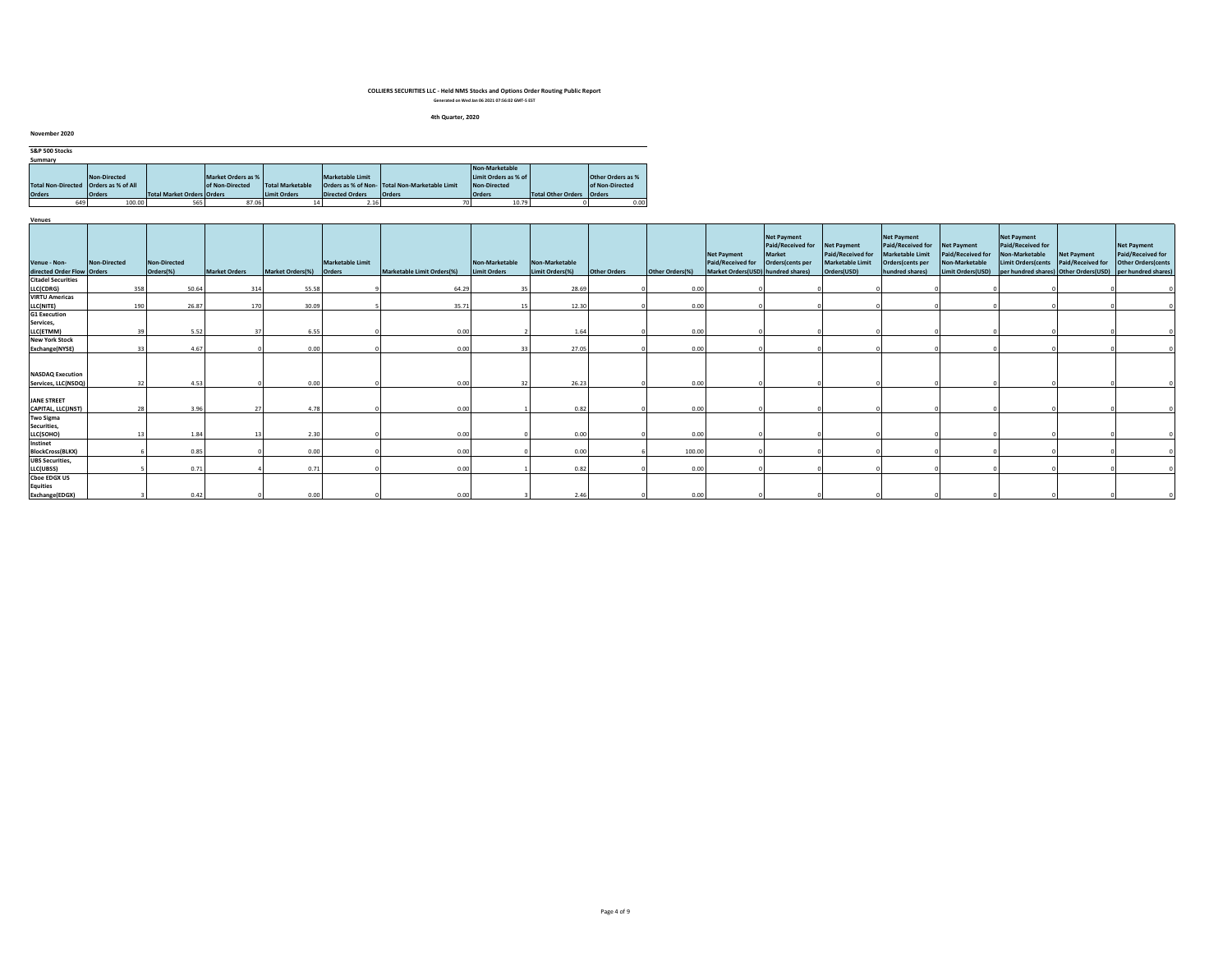#### **4th Quarter, 2020**

| S&P 500 Stocks                          |               |                                   |                    |                         |                         |                                               |                      |                             |                          |
|-----------------------------------------|---------------|-----------------------------------|--------------------|-------------------------|-------------------------|-----------------------------------------------|----------------------|-----------------------------|--------------------------|
| Summary                                 |               |                                   |                    |                         |                         |                                               |                      |                             |                          |
|                                         |               |                                   |                    |                         |                         |                                               | Non-Marketable       |                             |                          |
|                                         | Non-Directed  |                                   | Market Orders as % |                         | <b>Marketable Limit</b> |                                               | Limit Orders as % of |                             | <b>Other Orders as %</b> |
| Total Non-Directed   Orders as % of All |               |                                   | of Non-Directed    | <b>Total Marketable</b> |                         | Orders as % of Non-Total Non-Marketable Limit | Non-Directed         |                             | of Non-Directed          |
| <b>Orders</b>                           | <b>Orders</b> | <b>Total Market Orders Orders</b> |                    | <b>Limit Orders</b>     | <b>Directed Orders</b>  | <b>Orders</b>                                 | <b>Orders</b>        | Total Other Orders   Orders |                          |
| 649                                     | 100.00        | 565                               | 87.06              | 14                      | 2.16                    |                                               | 10.79                |                             | 0.00                     |

| Venues                                         |              |                           |                      |                  |                            |                            |                                |                                   |                     |                 |                                                                               |                                                                                   |                                                      |                                                                                             |                                                                                |                                                                                 |                                  |                                                                                                                            |
|------------------------------------------------|--------------|---------------------------|----------------------|------------------|----------------------------|----------------------------|--------------------------------|-----------------------------------|---------------------|-----------------|-------------------------------------------------------------------------------|-----------------------------------------------------------------------------------|------------------------------------------------------|---------------------------------------------------------------------------------------------|--------------------------------------------------------------------------------|---------------------------------------------------------------------------------|----------------------------------|----------------------------------------------------------------------------------------------------------------------------|
| Venue - Non-<br>directed Order Flow Orders     | Non-Directed | Non-Directed<br>Orders(%) | <b>Market Orders</b> | Market Orders(%) | Marketable Limit<br>Orders | Marketable Limit Orders(%) | Non-Marketable<br>Limit Orders | Non-Marketable<br>Limit Orders(%) | <b>Other Orders</b> | Other Orders(%) | <b>Net Payment</b><br>Paid/Received for<br>Market Orders(USD) hundred shares) | <b>Net Payment</b><br>Paid/Received for Net Payment<br>Market<br>Orders(cents per | Paid/Received for<br>Marketable Limit<br>Orders(USD) | Net Payment<br>Paid/Received for<br>Marketable Limit<br>Orders(cents per<br>hundred shares) | <b>Net Payment</b><br>Paid/Received for<br>Non-Marketable<br>Limit Orders(USD) | <b>Net Payment</b><br>Paid/Received for<br>Non-Marketable<br>Limit Orders(cents | Net Payment<br>Paid/Received for | <b>Net Payment</b><br>Paid/Received for<br>Other Orders(cents<br>per hundred shares) Other Orders(USD) per hundred shares) |
| <b>Citadel Securities</b>                      |              |                           |                      |                  |                            |                            |                                |                                   |                     |                 |                                                                               |                                                                                   |                                                      |                                                                                             |                                                                                |                                                                                 |                                  |                                                                                                                            |
| LLC(CDRG)                                      | 358          | 50.64                     | 314                  | 55.58            |                            | 64.29                      | 35 <sub>1</sub>                | 28.69                             |                     | 0.00            |                                                                               |                                                                                   |                                                      |                                                                                             |                                                                                |                                                                                 |                                  |                                                                                                                            |
| <b>VIRTU Americas</b>                          |              |                           |                      |                  |                            |                            |                                |                                   |                     |                 |                                                                               |                                                                                   |                                                      |                                                                                             |                                                                                |                                                                                 |                                  |                                                                                                                            |
| LLC(NITE)                                      | 190          | 26.87                     | 170                  | 30.09            |                            | 35.71                      | 15 <sup>1</sup>                | 12.30                             |                     | 0.00            |                                                                               |                                                                                   |                                                      |                                                                                             |                                                                                |                                                                                 |                                  |                                                                                                                            |
| <b>G1 Execution</b>                            |              |                           |                      |                  |                            |                            |                                |                                   |                     |                 |                                                                               |                                                                                   |                                                      |                                                                                             |                                                                                |                                                                                 |                                  |                                                                                                                            |
| Services,                                      |              |                           |                      |                  |                            |                            |                                |                                   |                     |                 |                                                                               |                                                                                   |                                                      |                                                                                             |                                                                                |                                                                                 |                                  |                                                                                                                            |
| LLC(ETMM)                                      |              | 5.52                      |                      | 6.55             |                            | 0.00                       |                                | 1.64                              |                     | 0.00            |                                                                               |                                                                                   |                                                      |                                                                                             |                                                                                |                                                                                 |                                  |                                                                                                                            |
| <b>New York Stock</b>                          |              |                           |                      |                  |                            |                            |                                |                                   |                     |                 |                                                                               |                                                                                   |                                                      |                                                                                             |                                                                                |                                                                                 |                                  |                                                                                                                            |
| Exchange(NYSE)                                 |              | 4.67                      |                      | 0.00             |                            | 0.00                       |                                | 27.05                             |                     | 0.00            |                                                                               |                                                                                   |                                                      |                                                                                             |                                                                                |                                                                                 |                                  |                                                                                                                            |
| <b>NASDAQ Execution</b><br>Services, LLC(NSDQ) |              | 4.53                      |                      | 0.00             |                            | 0.00                       | 32                             | 26.23                             |                     | 0.00            |                                                                               |                                                                                   |                                                      |                                                                                             |                                                                                |                                                                                 |                                  |                                                                                                                            |
| <b>JANE STREET</b><br>CAPITAL, LLC(JNST)       |              | 3.96                      |                      | 4.78             |                            | 0.00                       |                                | 0.82                              |                     | 0.00            |                                                                               |                                                                                   |                                                      |                                                                                             |                                                                                |                                                                                 |                                  |                                                                                                                            |
| <b>Two Sigma</b>                               |              |                           |                      |                  |                            |                            |                                |                                   |                     |                 |                                                                               |                                                                                   |                                                      |                                                                                             |                                                                                |                                                                                 |                                  |                                                                                                                            |
| Securities,                                    |              |                           |                      |                  |                            |                            |                                |                                   |                     |                 |                                                                               |                                                                                   |                                                      |                                                                                             |                                                                                |                                                                                 |                                  |                                                                                                                            |
| LLC(SOHO)                                      |              | 1.84                      |                      | 2.30             |                            | 0.00                       |                                | 0.00                              |                     | 0.00            |                                                                               |                                                                                   |                                                      |                                                                                             |                                                                                |                                                                                 |                                  |                                                                                                                            |
| Instinet                                       |              |                           |                      |                  |                            |                            |                                |                                   |                     |                 |                                                                               |                                                                                   |                                                      |                                                                                             |                                                                                |                                                                                 |                                  |                                                                                                                            |
| <b>BlockCross(BLKX)</b>                        |              | 0.85                      |                      | 0.00             |                            | 0.00                       |                                | 0.00                              |                     | 100.00          |                                                                               |                                                                                   |                                                      |                                                                                             |                                                                                |                                                                                 |                                  |                                                                                                                            |
| <b>UBS</b> Securities,                         |              |                           |                      |                  |                            |                            |                                |                                   |                     |                 |                                                                               |                                                                                   |                                                      |                                                                                             |                                                                                |                                                                                 |                                  |                                                                                                                            |
| LLC(UBSS)                                      |              | 0.71                      |                      | 0.71             |                            | 0.00                       |                                | 0.82                              |                     | 0.00            |                                                                               |                                                                                   |                                                      |                                                                                             |                                                                                |                                                                                 |                                  |                                                                                                                            |
| <b>Choe EDGX US</b><br><b>Equities</b>         |              |                           |                      |                  |                            |                            |                                |                                   |                     |                 |                                                                               |                                                                                   |                                                      |                                                                                             |                                                                                |                                                                                 |                                  |                                                                                                                            |
| Exchange(EDGX)                                 |              | 0.42                      |                      | 0.00             |                            | 0.00                       |                                | 2.46                              |                     | 0.00            |                                                                               |                                                                                   |                                                      |                                                                                             |                                                                                |                                                                                 |                                  |                                                                                                                            |

**November 2020**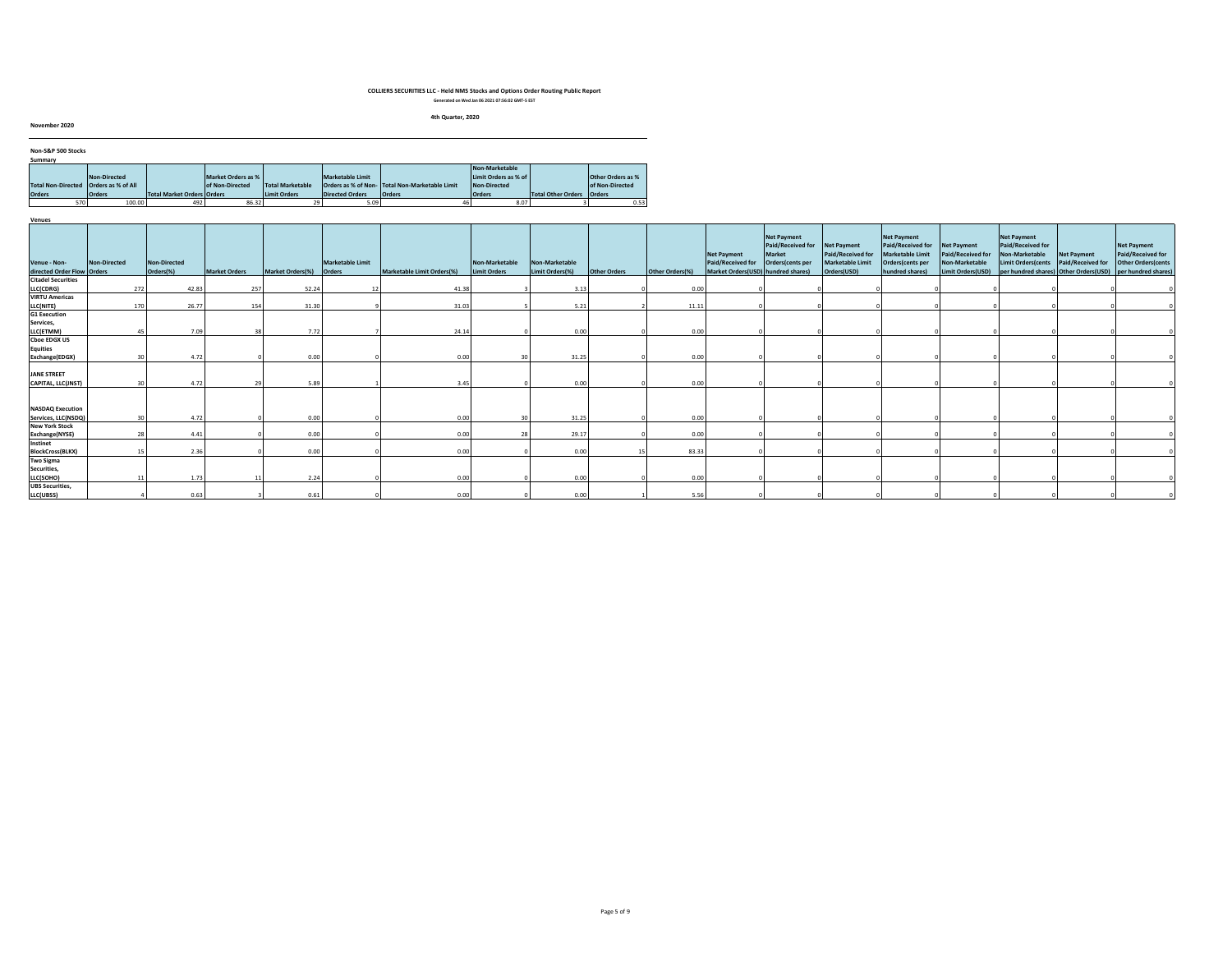#### **4th Quarter, 2020**

**November 2020**

| Non-S&P 500 Stocks                      |               |                            |                    |                         |                        |                                                |                      |                             |                   |
|-----------------------------------------|---------------|----------------------------|--------------------|-------------------------|------------------------|------------------------------------------------|----------------------|-----------------------------|-------------------|
| Summary                                 |               |                            |                    |                         |                        |                                                |                      |                             |                   |
|                                         |               |                            |                    |                         |                        |                                                | Non-Marketable       |                             |                   |
|                                         | Non-Directed  |                            | Market Orders as % |                         | Marketable Limit       |                                                | Limit Orders as % of |                             | Other Orders as % |
| Total Non-Directed   Orders as % of All |               |                            | of Non-Directed    | <b>Total Marketable</b> |                        | Orders as % of Non- Total Non-Marketable Limit | Non-Directed         |                             | of Non-Directed   |
| <b>Orders</b>                           | <b>Orders</b> | Total Market Orders Orders |                    | Limit Orders            | <b>Directed Orders</b> | <b>Orders</b>                                  | <b>Orders</b>        | Total Other Orders   Orders |                   |
| 570                                     | 100.00        | 492                        | 86.32              |                         | 5.09                   |                                                | 8.07                 |                             | 0.53              |

| Venues                                         |              |                           |                      |                         |                                   |                            |                                |                                   |              |                 |                                                                        |                                                                       |                                                                     |                                                                                                           |                                                                                |                                                                                                                                 |                                  |                                                                                      |
|------------------------------------------------|--------------|---------------------------|----------------------|-------------------------|-----------------------------------|----------------------------|--------------------------------|-----------------------------------|--------------|-----------------|------------------------------------------------------------------------|-----------------------------------------------------------------------|---------------------------------------------------------------------|-----------------------------------------------------------------------------------------------------------|--------------------------------------------------------------------------------|---------------------------------------------------------------------------------------------------------------------------------|----------------------------------|--------------------------------------------------------------------------------------|
| Venue - Non-<br>directed Order Flow Orders     | Non-Directed | Non-Directed<br>Orders(%) | <b>Market Orders</b> | <b>Market Orders(%)</b> | <b>Marketable Limit</b><br>Orders | Marketable Limit Orders(%) | Non-Marketable<br>Limit Orders | Non-Marketable<br>Limit Orders(%) | Other Orders | Other Orders(%) | Net Payment<br>Paid/Received for<br>Market Orders(USD) hundred shares) | Net Payment<br>Paid/Received for<br><b>Market</b><br>Orders(cents per | Net Payment<br>Paid/Received for<br>Marketable Limit<br>Orders(USD) | <b>Net Payment</b><br>Paid/Received for<br><b>Marketable Limit</b><br>Orders(cents per<br>hundred shares) | Net Payment<br>Paid/Received for<br><b>Non-Marketable</b><br>Limit Orders(USD) | <b>Net Payment</b><br>Paid/Received for<br>Non-Marketable<br><b>Limit Orders(cents</b><br>per hundred shares) Other Orders(USD) | Net Payment<br>Paid/Received for | <b>Net Payment</b><br>Paid/Received for<br>Other Orders(cents<br>per hundred shares) |
| <b>Citadel Securities</b>                      |              |                           |                      |                         |                                   |                            |                                |                                   |              |                 |                                                                        |                                                                       |                                                                     |                                                                                                           |                                                                                |                                                                                                                                 |                                  |                                                                                      |
| LLC(CDRG)                                      | 272          | 42.83                     | 257                  | 52.24                   |                                   | 41.38                      |                                | 3.13                              |              | 0.00            |                                                                        |                                                                       |                                                                     |                                                                                                           |                                                                                |                                                                                                                                 |                                  |                                                                                      |
| <b>VIRTU Americas</b>                          |              |                           |                      |                         |                                   |                            |                                |                                   |              |                 |                                                                        |                                                                       |                                                                     |                                                                                                           |                                                                                |                                                                                                                                 |                                  |                                                                                      |
| LLC(NITE)                                      | 170          | 26.77                     | 154                  | 31.30                   |                                   | 31.03                      |                                | 5.21                              |              | 11.1            |                                                                        |                                                                       |                                                                     |                                                                                                           |                                                                                |                                                                                                                                 |                                  |                                                                                      |
| <b>G1 Execution</b>                            |              |                           |                      |                         |                                   |                            |                                |                                   |              |                 |                                                                        |                                                                       |                                                                     |                                                                                                           |                                                                                |                                                                                                                                 |                                  |                                                                                      |
| Services,                                      |              |                           |                      |                         |                                   |                            |                                |                                   |              |                 |                                                                        |                                                                       |                                                                     |                                                                                                           |                                                                                |                                                                                                                                 |                                  |                                                                                      |
| LLC(ETMM)                                      | 45           | 7.09                      | 38                   | 7.72                    |                                   | 24.14                      |                                | 0.00                              |              | 0.00            |                                                                        |                                                                       |                                                                     |                                                                                                           |                                                                                |                                                                                                                                 |                                  |                                                                                      |
| <b>Cboe EDGX US</b>                            |              |                           |                      |                         |                                   |                            |                                |                                   |              |                 |                                                                        |                                                                       |                                                                     |                                                                                                           |                                                                                |                                                                                                                                 |                                  |                                                                                      |
| <b>Equities</b>                                |              |                           |                      |                         |                                   |                            |                                |                                   |              |                 |                                                                        |                                                                       |                                                                     |                                                                                                           |                                                                                |                                                                                                                                 |                                  |                                                                                      |
| Exchange(EDGX)                                 |              | 4.72                      |                      | 0.00                    |                                   | 0.00                       | 30                             | 31.25                             |              | 0.00            |                                                                        |                                                                       |                                                                     |                                                                                                           |                                                                                |                                                                                                                                 |                                  |                                                                                      |
| <b>JANE STREET</b>                             |              |                           |                      |                         |                                   |                            |                                |                                   |              |                 |                                                                        |                                                                       |                                                                     |                                                                                                           |                                                                                |                                                                                                                                 |                                  |                                                                                      |
| CAPITAL, LLC(JNST)                             |              | 4.72                      | 79                   | 5.89                    |                                   | 3.45                       |                                | 0.00                              |              | 0.00            |                                                                        |                                                                       |                                                                     |                                                                                                           |                                                                                |                                                                                                                                 |                                  |                                                                                      |
|                                                |              |                           |                      |                         |                                   |                            |                                |                                   |              |                 |                                                                        |                                                                       |                                                                     |                                                                                                           |                                                                                |                                                                                                                                 |                                  |                                                                                      |
| <b>NASDAQ Execution</b><br>Services, LLC(NSDQ) | 20           | 4.72                      |                      |                         |                                   | 0.00                       | 30                             | 31.25                             |              | 0.00            |                                                                        |                                                                       |                                                                     |                                                                                                           |                                                                                |                                                                                                                                 |                                  |                                                                                      |
| <b>New York Stock</b>                          |              |                           |                      | 0.00                    |                                   |                            |                                |                                   |              |                 |                                                                        |                                                                       |                                                                     |                                                                                                           |                                                                                |                                                                                                                                 |                                  |                                                                                      |
| Exchange(NYSE)                                 | 78           | 4.41                      |                      | 0.00                    |                                   | 0.00                       | 70                             | 29.17                             |              | 0.00            |                                                                        |                                                                       |                                                                     |                                                                                                           |                                                                                |                                                                                                                                 |                                  |                                                                                      |
| Instinet                                       |              |                           |                      |                         |                                   |                            |                                |                                   |              |                 |                                                                        |                                                                       |                                                                     |                                                                                                           |                                                                                |                                                                                                                                 |                                  |                                                                                      |
| <b>BlockCross(BLKX)</b>                        | 15           | 2.36                      |                      | 0.00                    |                                   | 0.00                       |                                | 0.00                              |              | 83.33           |                                                                        |                                                                       |                                                                     |                                                                                                           |                                                                                |                                                                                                                                 |                                  |                                                                                      |
| <b>Two Sigma</b>                               |              |                           |                      |                         |                                   |                            |                                |                                   |              |                 |                                                                        |                                                                       |                                                                     |                                                                                                           |                                                                                |                                                                                                                                 |                                  |                                                                                      |
| Securities,                                    |              |                           |                      |                         |                                   |                            |                                |                                   |              |                 |                                                                        |                                                                       |                                                                     |                                                                                                           |                                                                                |                                                                                                                                 |                                  |                                                                                      |
| LLC(SOHO)                                      |              | 1.73                      |                      | 2.24                    |                                   | 0.00                       |                                | 0.00                              |              | 0.00            |                                                                        |                                                                       |                                                                     |                                                                                                           |                                                                                |                                                                                                                                 |                                  |                                                                                      |
| <b>UBS Securities</b>                          |              |                           |                      |                         |                                   |                            |                                |                                   |              |                 |                                                                        |                                                                       |                                                                     |                                                                                                           |                                                                                |                                                                                                                                 |                                  |                                                                                      |
| LLC(UBSS)                                      |              | 0.63                      |                      | 0.61                    |                                   | 0.00                       |                                | 0.00                              |              | 5.56            |                                                                        |                                                                       |                                                                     |                                                                                                           |                                                                                |                                                                                                                                 |                                  |                                                                                      |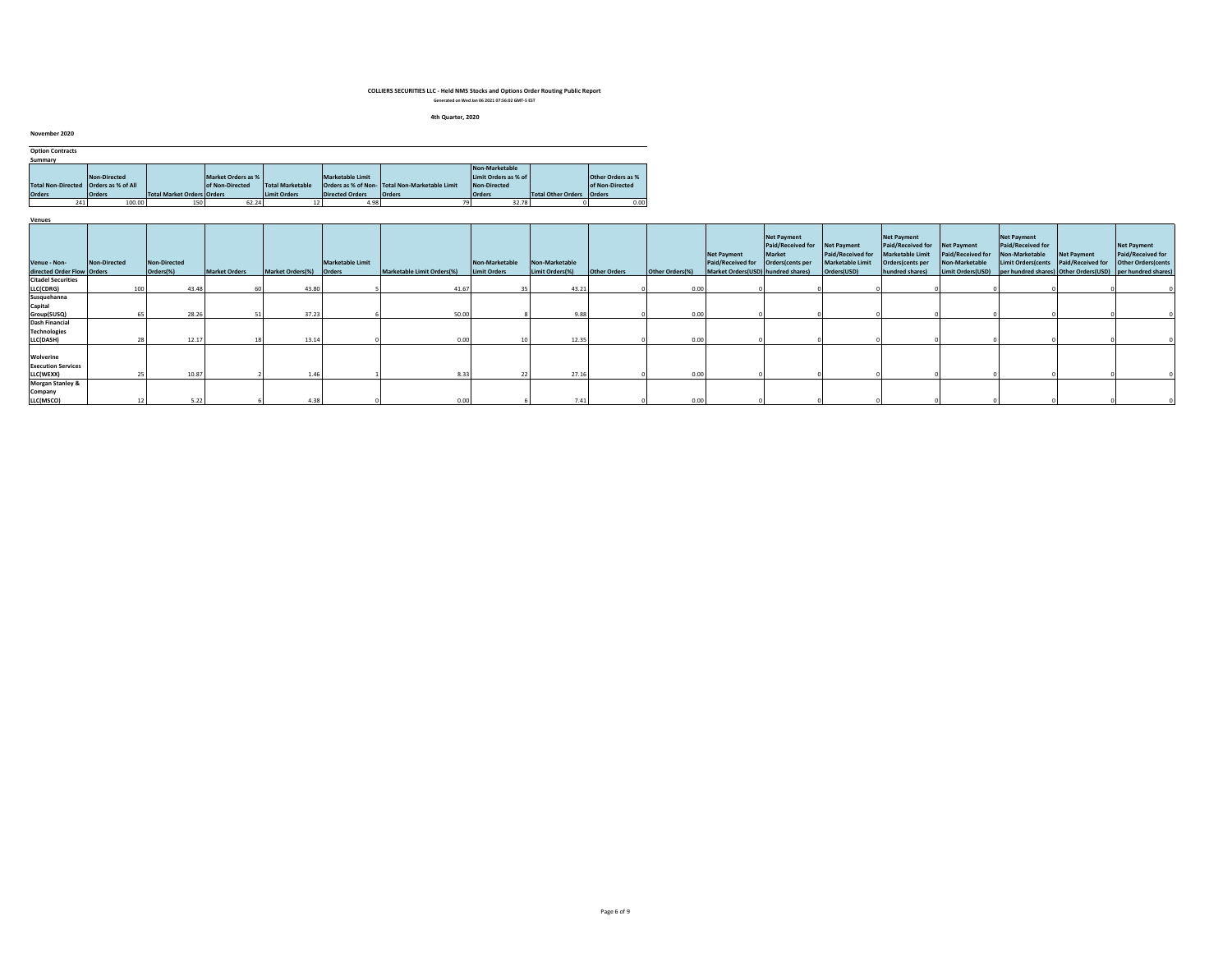#### **4th Quarter, 2020**

|     |                                                                                                   |                                                            |        |                                                             |                                                               |                                                   |                                                                        |                                 | <b>Other Orders as %</b>                                   |
|-----|---------------------------------------------------------------------------------------------------|------------------------------------------------------------|--------|-------------------------------------------------------------|---------------------------------------------------------------|---------------------------------------------------|------------------------------------------------------------------------|---------------------------------|------------------------------------------------------------|
|     |                                                                                                   |                                                            |        |                                                             |                                                               |                                                   | <b>Non-Directed</b>                                                    |                                 | of Non-Directed                                            |
|     |                                                                                                   |                                                            |        |                                                             |                                                               |                                                   |                                                                        |                                 | <b>Orders</b>                                              |
| 241 |                                                                                                   |                                                            | 62.24  |                                                             |                                                               |                                                   |                                                                        |                                 | 0.00                                                       |
|     | November 2020<br><b>Option Contracts</b><br>Summary<br><b>Total Non-Directed</b><br><b>Orders</b> | Non-Directed<br><b>Orders as % of All</b><br><b>Orders</b> | 100.00 | of Non-Directed<br><b>Total Market Orders Orders</b><br>150 | Market Orders as %<br><b>Total Marketable</b><br>Limit Orders | <b>Marketable Limit</b><br><b>Directed Orders</b> | Orders as % of Non-Total Non-Marketable Limit<br><b>Orders</b><br>4.98 | Non-Marketable<br><b>Orders</b> | Limit Orders as % of<br><b>Total Other Orders</b><br>32.78 |

| Venues                                              |              |                           |                      |                         |                         |                            |                                       |                                   |                     |                 |                                                                               |                                                                                          |                                                             |                                                                                                           |                                                                         |                                                                                                                                                                |             |                                                                       |
|-----------------------------------------------------|--------------|---------------------------|----------------------|-------------------------|-------------------------|----------------------------|---------------------------------------|-----------------------------------|---------------------|-----------------|-------------------------------------------------------------------------------|------------------------------------------------------------------------------------------|-------------------------------------------------------------|-----------------------------------------------------------------------------------------------------------|-------------------------------------------------------------------------|----------------------------------------------------------------------------------------------------------------------------------------------------------------|-------------|-----------------------------------------------------------------------|
| Venue - Non-<br>directed Order Flow Orders          | Non-Directed | Non-Directed<br>Orders(%) | <b>Market Orders</b> | Market Orders(%) Orders | <b>Marketable Limit</b> | Marketable Limit Orders(%) | Non-Marketable<br><b>Limit Orders</b> | Non-Marketable<br>Limit Orders(%) | <b>Other Orders</b> | Other Orders(%) | <b>Net Payment</b><br>Paid/Received for<br>Market Orders(USD) hundred shares) | <b>Net Payment</b><br>Paid/Received for Net Payment<br><b>Market</b><br>Orders(cents per | Paid/Received for<br><b>Marketable Limit</b><br>Orders(USD) | <b>Net Payment</b><br>Paid/Received for<br><b>Marketable Limit</b><br>Orders(cents per<br>hundred shares) | Net Payment<br>Paid/Received for<br>Non-Marketable<br>Limit Orders(USD) | <b>Net Payment</b><br>Paid/Received for<br>Non-Marketable<br>Limit Orders(cents Paid/Received for<br>per hundred shares) Other Orders(USD) per hundred shares) | Net Payment | <b>Net Payment</b><br>Paid/Received for<br><b>Other Orders (cents</b> |
| <b>Citadel Securities</b>                           |              |                           |                      |                         |                         |                            |                                       |                                   |                     |                 |                                                                               |                                                                                          |                                                             |                                                                                                           |                                                                         |                                                                                                                                                                |             |                                                                       |
| LLC(CDRG)                                           | 100          |                           | 43.48                | 43.80                   |                         | 41.67                      |                                       | 43.21                             |                     | 0.00            |                                                                               |                                                                                          |                                                             |                                                                                                           |                                                                         |                                                                                                                                                                |             |                                                                       |
|                                                     |              |                           |                      |                         |                         |                            |                                       |                                   |                     |                 |                                                                               |                                                                                          |                                                             |                                                                                                           |                                                                         |                                                                                                                                                                |             |                                                                       |
| Susquehanna<br>Capital                              |              |                           |                      |                         |                         |                            |                                       |                                   |                     |                 |                                                                               |                                                                                          |                                                             |                                                                                                           |                                                                         |                                                                                                                                                                |             |                                                                       |
| Group(SUSQ)                                         |              |                           | 28.26                | 37.23                   |                         | 50.00                      |                                       | 9.88                              |                     | 0.00            |                                                                               |                                                                                          |                                                             |                                                                                                           |                                                                         |                                                                                                                                                                |             |                                                                       |
| Dash Financial                                      |              |                           |                      |                         |                         |                            |                                       |                                   |                     |                 |                                                                               |                                                                                          |                                                             |                                                                                                           |                                                                         |                                                                                                                                                                |             |                                                                       |
| <b>Technologies</b>                                 |              |                           |                      |                         |                         |                            |                                       |                                   |                     |                 |                                                                               |                                                                                          |                                                             |                                                                                                           |                                                                         |                                                                                                                                                                |             |                                                                       |
| LLC(DASH)                                           |              |                           | 12.17                | 13.1                    |                         | 0.00                       |                                       | 12.35                             |                     | 0.00            |                                                                               |                                                                                          |                                                             |                                                                                                           |                                                                         |                                                                                                                                                                |             |                                                                       |
| Wolverine<br><b>Execution Services</b>              |              |                           | 10.87                |                         |                         | 8.33                       |                                       | 27.16                             |                     | 0.00            |                                                                               |                                                                                          |                                                             |                                                                                                           |                                                                         |                                                                                                                                                                |             |                                                                       |
| LLC(WEXX)                                           |              |                           |                      |                         |                         |                            |                                       |                                   |                     |                 |                                                                               |                                                                                          |                                                             |                                                                                                           |                                                                         |                                                                                                                                                                |             |                                                                       |
| <b>Morgan Stanley &amp;</b><br>Company<br>LLC(MSCO) |              |                           | 5.22                 | 4.38                    |                         | 0.00                       |                                       | 7.41                              |                     | 0.00            |                                                                               |                                                                                          |                                                             |                                                                                                           |                                                                         |                                                                                                                                                                |             |                                                                       |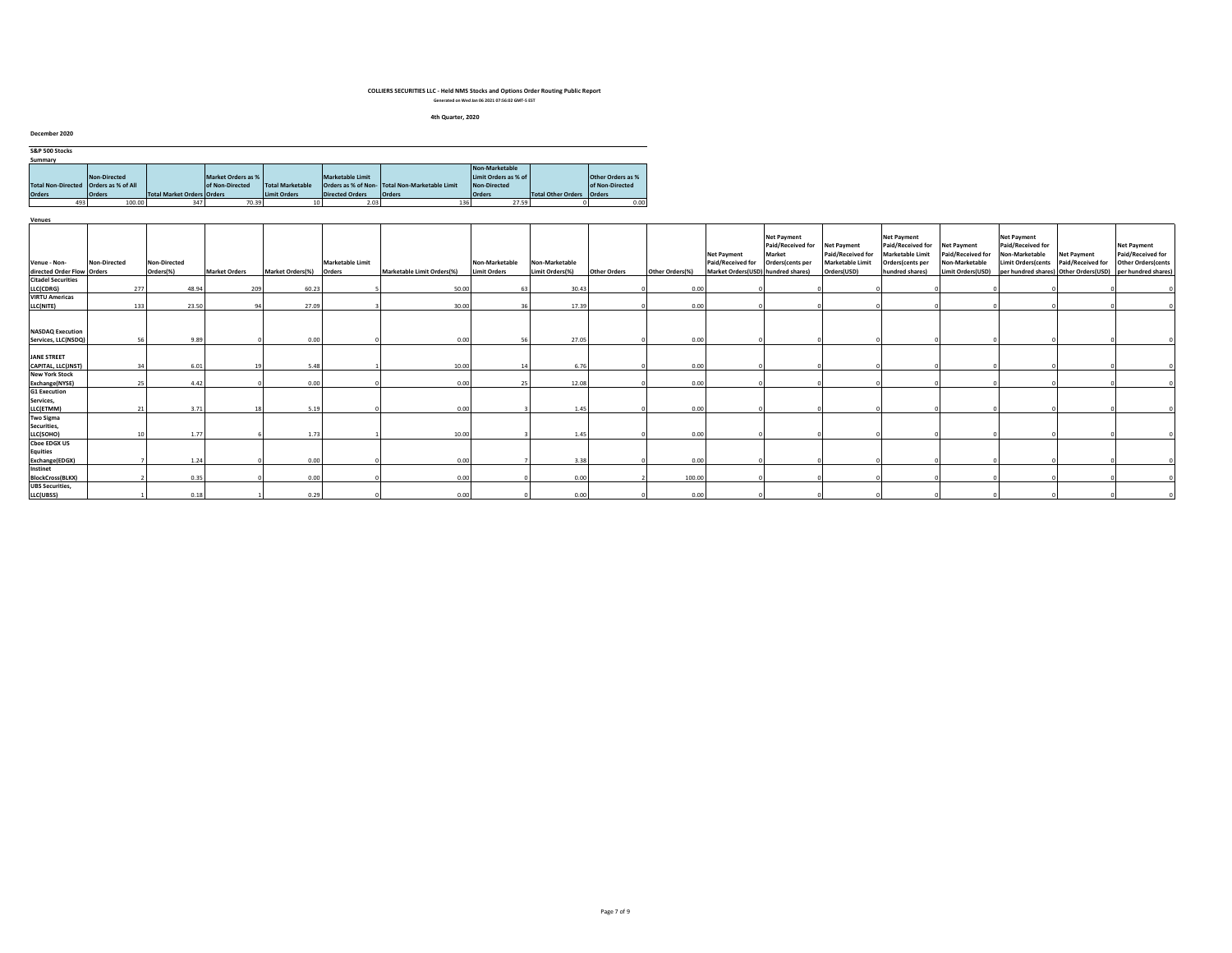#### **4th Quarter, 2020**

| December 2020                           |               |                                   |                    |                         |                         |                                                |                      |                             |                          |
|-----------------------------------------|---------------|-----------------------------------|--------------------|-------------------------|-------------------------|------------------------------------------------|----------------------|-----------------------------|--------------------------|
| S&P 500 Stocks                          |               |                                   |                    |                         |                         |                                                |                      |                             |                          |
| Summary                                 |               |                                   |                    |                         |                         |                                                | Non-Marketable       |                             |                          |
|                                         | Non-Directed  |                                   | Market Orders as % |                         | <b>Marketable Limit</b> |                                                | Limit Orders as % of |                             | <b>Other Orders as %</b> |
| Total Non-Directed   Orders as % of All |               |                                   | of Non-Directed    | <b>Total Marketable</b> |                         | Orders as % of Non- Total Non-Marketable Limit | Non-Directed         |                             | of Non-Directed          |
| <b>Orders</b>                           | <b>Orders</b> | <b>Total Market Orders Orders</b> |                    | <b>Limit Orders</b>     | <b>Directed Orders</b>  | <b>Orders</b>                                  | <b>Orders</b>        | Total Other Orders   Orders |                          |
| 493                                     | 100.00        | 347                               | 70.39              |                         | 2.03                    | 136                                            | 27.59                |                             | 0.00                     |
|                                         |               |                                   |                    |                         |                         |                                                |                      |                             |                          |

| venues                                            |              |                     |                      |                  |                         |                            |                     |                 |                     |                 |                                         |                                                                                          |                                              |                                                                                                    |                                     |                                                                                        |                                         |                                                                       |
|---------------------------------------------------|--------------|---------------------|----------------------|------------------|-------------------------|----------------------------|---------------------|-----------------|---------------------|-----------------|-----------------------------------------|------------------------------------------------------------------------------------------|----------------------------------------------|----------------------------------------------------------------------------------------------------|-------------------------------------|----------------------------------------------------------------------------------------|-----------------------------------------|-----------------------------------------------------------------------|
| Venue - Non-                                      | Non-Directed | <b>Non-Directed</b> |                      |                  | <b>Marketable Limit</b> |                            | Non-Marketable      | Non-Marketable  |                     |                 | <b>Net Payment</b><br>Paid/Received for | <b>Net Payment</b><br>Paid/Received for Net Payment<br><b>Market</b><br>Orders(cents per | Paid/Received for<br><b>Marketable Limit</b> | <b>Net Payment</b><br>Paid/Received for Net Payment<br><b>Marketable Limit</b><br>Orders(cents per | Paid/Received for<br>Non-Marketable | <b>Net Payment</b><br>Paid/Received for<br>Non-Marketable<br><b>Limit Orders(cents</b> | <b>Net Payment</b><br>Paid/Received for | <b>Net Payment</b><br>Paid/Received for<br><b>Other Orders (cents</b> |
| directed Order Flow Orders                        |              | Orders(%)           | <b>Market Orders</b> | Market Orders(%) | Orders                  | Marketable Limit Orders(%) | <b>Limit Orders</b> | Limit Orders(%) | <b>Other Orders</b> | Other Orders(%) | Market Orders(USD) hundred shares)      |                                                                                          | Orders(USD)                                  | hundred shares)                                                                                    | Limit Orders(USD)                   |                                                                                        |                                         | per hundred shares) Other Orders(USD) per hundred shares)             |
| <b>Citadel Securities</b>                         |              |                     |                      |                  |                         |                            |                     |                 |                     |                 |                                         |                                                                                          |                                              |                                                                                                    |                                     |                                                                                        |                                         |                                                                       |
| LLC(CDRG)                                         |              | 277<br>48.94        | 209                  | 60.23            |                         | 50.00                      | 63                  | 30.43           |                     | 0.00            |                                         |                                                                                          |                                              |                                                                                                    |                                     |                                                                                        |                                         |                                                                       |
| <b>VIRTU Americas</b>                             |              |                     |                      |                  |                         |                            |                     |                 |                     |                 |                                         |                                                                                          |                                              |                                                                                                    |                                     |                                                                                        |                                         |                                                                       |
| LLC(NITE)                                         |              | 23.50<br>133        | 94                   | 27.09            |                         | 30.00                      | 36                  | 17.39           |                     | 0.00            |                                         |                                                                                          |                                              |                                                                                                    |                                     |                                                                                        |                                         |                                                                       |
| <b>NASDAQ Execution</b>                           |              |                     |                      |                  |                         |                            |                     |                 |                     |                 |                                         |                                                                                          |                                              |                                                                                                    |                                     |                                                                                        |                                         |                                                                       |
| Services, LLC(NSDQ)                               |              | 9.89<br>56          |                      | 0.00             |                         | 0.00                       | 56                  | 27.05           |                     | 0.00            |                                         |                                                                                          |                                              |                                                                                                    |                                     |                                                                                        |                                         |                                                                       |
| <b>JANE STREET</b><br>CAPITAL, LLC(JNST)          |              | 6.01<br>34          | 19                   | 5.48             |                         | 10.00                      | 14                  | 6.76            |                     | 0.00            |                                         |                                                                                          |                                              |                                                                                                    |                                     |                                                                                        |                                         |                                                                       |
| <b>New York Stock</b>                             |              |                     |                      |                  |                         |                            |                     |                 |                     |                 |                                         |                                                                                          |                                              |                                                                                                    |                                     |                                                                                        |                                         |                                                                       |
| Exchange(NYSE)                                    |              | 25<br>4.42          |                      | 0.00             |                         | 0.00                       | 25                  | 12.08           |                     | 0.00            |                                         |                                                                                          |                                              |                                                                                                    |                                     |                                                                                        |                                         |                                                                       |
| <b>G1 Execution</b><br>Services,<br>LLC(ETMM)     |              | 3.71<br>21          | 18                   | 5.19             |                         | 0.00                       |                     | 1.45            |                     | 0.00            |                                         |                                                                                          |                                              |                                                                                                    |                                     |                                                                                        |                                         |                                                                       |
| <b>Two Sigma</b>                                  |              |                     |                      |                  |                         |                            |                     |                 |                     |                 |                                         |                                                                                          |                                              |                                                                                                    |                                     |                                                                                        |                                         |                                                                       |
| Securities,<br>LLC(SOHO)                          |              | 1.77                |                      | 1.73             |                         | 10.00                      |                     | 1.45            |                     | 0.00            |                                         |                                                                                          |                                              |                                                                                                    |                                     |                                                                                        |                                         |                                                                       |
|                                                   |              |                     |                      |                  |                         |                            |                     |                 |                     |                 |                                         |                                                                                          |                                              |                                                                                                    |                                     |                                                                                        |                                         |                                                                       |
| <b>Cboe EDGX US</b><br>Equities<br>Exchange(EDGX) |              | 1.24                |                      | 0.00             |                         | 0.00                       |                     | 3.38            |                     | 0.00            |                                         |                                                                                          |                                              |                                                                                                    |                                     |                                                                                        |                                         |                                                                       |
| Instinet                                          |              |                     |                      |                  |                         |                            |                     |                 |                     |                 |                                         |                                                                                          |                                              |                                                                                                    |                                     |                                                                                        |                                         |                                                                       |
| <b>BlockCross(BLKX)</b>                           |              | 0.35                |                      | 0.00             |                         | 0.00                       |                     | 0.00            |                     | 100.00          |                                         |                                                                                          |                                              |                                                                                                    |                                     |                                                                                        |                                         |                                                                       |
| <b>UBS Securities,</b>                            |              |                     |                      |                  |                         |                            |                     |                 |                     |                 |                                         |                                                                                          |                                              |                                                                                                    |                                     |                                                                                        |                                         |                                                                       |
| LLC(UBSS)                                         |              | 0.18                |                      | 0.29             |                         | 0.00                       |                     | 0.00            |                     | 0.00            |                                         |                                                                                          |                                              |                                                                                                    |                                     |                                                                                        |                                         |                                                                       |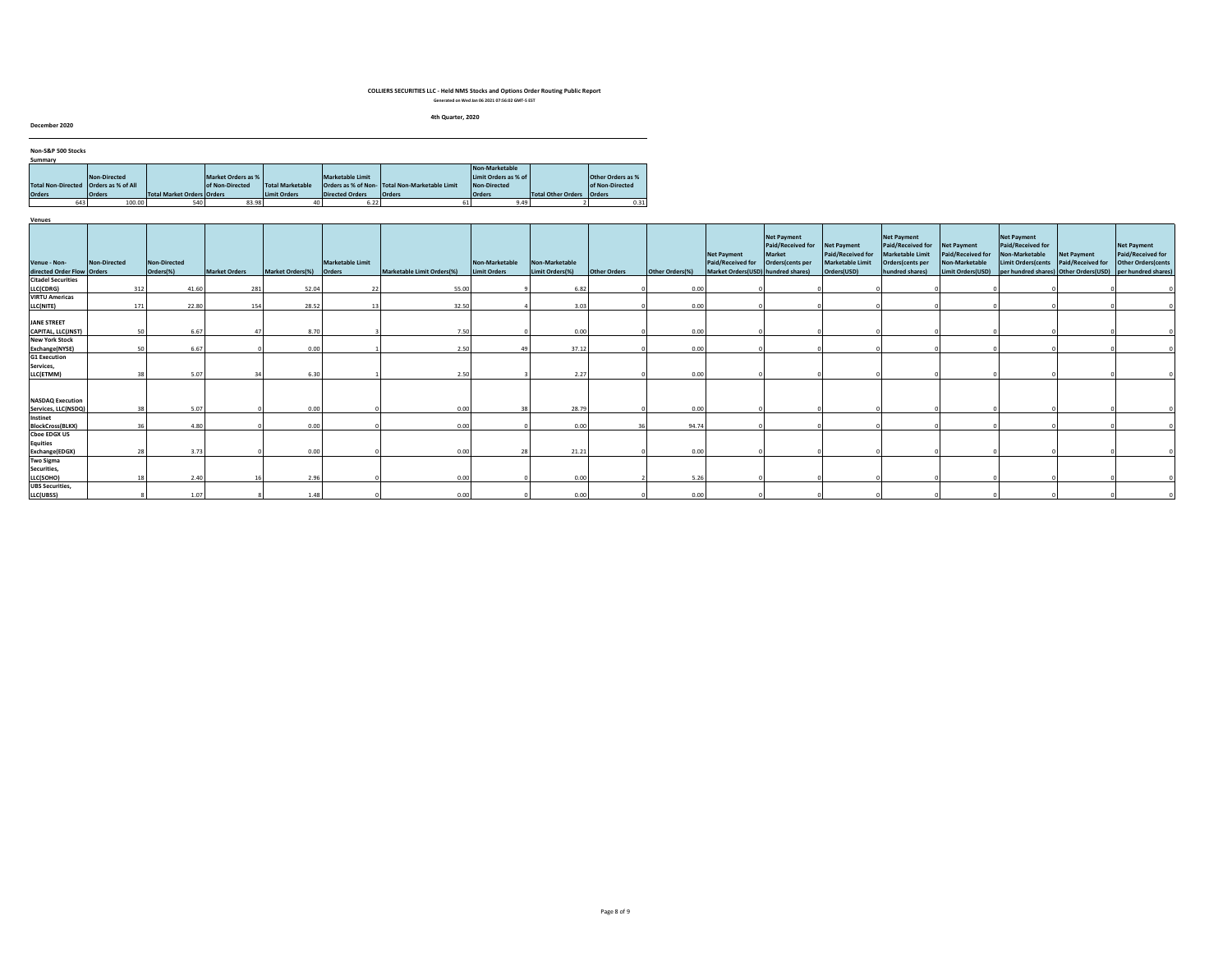#### **4th Quarter, 2020**

**December 2020**

| Non-S&P 500 Stocks                      |               |                                   |                    |                  |                        |                                                |                      |                             |                          |
|-----------------------------------------|---------------|-----------------------------------|--------------------|------------------|------------------------|------------------------------------------------|----------------------|-----------------------------|--------------------------|
| Summary                                 |               |                                   |                    |                  |                        |                                                |                      |                             |                          |
|                                         |               |                                   |                    |                  |                        |                                                | Non-Marketable       |                             |                          |
|                                         | Non-Directed  |                                   | Market Orders as % |                  | Marketable Limit       |                                                | Limit Orders as % of |                             | <b>Other Orders as %</b> |
| Total Non-Directed   Orders as % of All |               |                                   | of Non-Directed    | Total Marketable |                        | Orders as % of Non- Total Non-Marketable Limit | Non-Directed         |                             | of Non-Directed          |
| <b>Orders</b>                           | <b>Orders</b> | <b>Total Market Orders Orders</b> |                    | Limit Orders     | <b>Directed Orders</b> | <b>Orders</b>                                  | <b>Orders</b>        | Total Other Orders   Orders |                          |
| 643                                     | 100.00        | 540                               | 83.98              |                  | 6.22                   |                                                | 9.49                 |                             | 0.31                     |

| Venues                                         |              |                           |                      |                         |                  |                                   |                                |                                   |              |                 |                                                                               |                                                                              |                                                                     |                                                                                                    |                                                                                       |                                                                                                                                  |                                  |                                                                                      |
|------------------------------------------------|--------------|---------------------------|----------------------|-------------------------|------------------|-----------------------------------|--------------------------------|-----------------------------------|--------------|-----------------|-------------------------------------------------------------------------------|------------------------------------------------------------------------------|---------------------------------------------------------------------|----------------------------------------------------------------------------------------------------|---------------------------------------------------------------------------------------|----------------------------------------------------------------------------------------------------------------------------------|----------------------------------|--------------------------------------------------------------------------------------|
| Venue - Non-<br>directed Order Flow Orders     | Non-Directed | Non-Directed<br>Orders(%) | <b>Market Orders</b> | Market Orders(%) Orders | Marketable Limit | <b>Marketable Limit Orders(%)</b> | Non-Marketable<br>Limit Orders | Non-Marketable<br>Limit Orders(%) | Other Orders | Other Orders(%) | <b>Net Payment</b><br>Paid/Received for<br>Market Orders(USD) hundred shares) | <b>Net Payment</b><br>Paid/Received for<br><b>Market</b><br>Orders(cents per | Net Payment<br>Paid/Received for<br>Marketable Limit<br>Orders(USD) | <b>Net Payment</b><br>Paid/Received for<br>Marketable Limit<br>Orders(cents per<br>hundred shares) | <b>Net Payment</b><br>Paid/Received for<br><b>Non-Marketable</b><br>Limit Orders(USD) | <b>Net Payment</b><br>Paid/Received for<br>Non-Marketable<br><b>Limit Orders (cents</b><br>per hundred shares) Other Orders(USD) | Net Payment<br>Paid/Received for | <b>Net Payment</b><br>Paid/Received for<br>Other Orders(cents<br>per hundred shares) |
| <b>Citadel Securities</b>                      |              |                           |                      |                         |                  |                                   |                                |                                   |              |                 |                                                                               |                                                                              |                                                                     |                                                                                                    |                                                                                       |                                                                                                                                  |                                  |                                                                                      |
| LLC(CDRG)                                      |              | 312<br>41.60              | 281                  | 52.04                   |                  | 55.00                             |                                | 6.82                              |              | 0.00            |                                                                               |                                                                              |                                                                     |                                                                                                    |                                                                                       |                                                                                                                                  |                                  |                                                                                      |
| <b>VIRTU Americas</b>                          |              |                           |                      |                         |                  |                                   |                                |                                   |              |                 |                                                                               |                                                                              |                                                                     |                                                                                                    |                                                                                       |                                                                                                                                  |                                  |                                                                                      |
| LLC(NITE)                                      |              | 22.80<br>171              | 154                  | 28.52                   |                  | 32.50                             |                                | 3.03                              |              | 0.00            |                                                                               |                                                                              |                                                                     |                                                                                                    |                                                                                       |                                                                                                                                  |                                  |                                                                                      |
| JANE STREET<br>CAPITAL, LLC(JNST)              |              | 50<br>6.67                |                      | 8.70                    |                  | 7.50                              |                                | 0.00                              |              | 0.00            |                                                                               |                                                                              |                                                                     |                                                                                                    |                                                                                       |                                                                                                                                  |                                  |                                                                                      |
| <b>New York Stock</b>                          |              |                           |                      |                         |                  |                                   |                                |                                   |              |                 |                                                                               |                                                                              |                                                                     |                                                                                                    |                                                                                       |                                                                                                                                  |                                  |                                                                                      |
| Exchange(NYSE)                                 |              | 50<br>6.67                |                      | 0.00                    |                  | 2.50                              | 49                             | 37.12                             |              | 0.00            |                                                                               |                                                                              |                                                                     |                                                                                                    |                                                                                       |                                                                                                                                  |                                  |                                                                                      |
| <b>G1 Execution</b>                            |              |                           |                      |                         |                  |                                   |                                |                                   |              |                 |                                                                               |                                                                              |                                                                     |                                                                                                    |                                                                                       |                                                                                                                                  |                                  |                                                                                      |
| Services,                                      |              |                           |                      |                         |                  |                                   |                                |                                   |              |                 |                                                                               |                                                                              |                                                                     |                                                                                                    |                                                                                       |                                                                                                                                  |                                  |                                                                                      |
| LLC(ETMM)                                      |              | 5.07                      |                      | 6.30                    |                  | 2.50                              |                                | 2.27                              |              | 0.00            |                                                                               |                                                                              |                                                                     |                                                                                                    |                                                                                       |                                                                                                                                  |                                  |                                                                                      |
| <b>NASDAQ Execution</b><br>Services, LLC(NSDQ) |              | 5.07                      |                      | 0.00                    |                  | 0.00                              | 38                             | 28.79                             |              | 0.00            |                                                                               |                                                                              |                                                                     |                                                                                                    |                                                                                       |                                                                                                                                  |                                  |                                                                                      |
| Instinet                                       |              |                           |                      |                         |                  |                                   |                                |                                   |              |                 |                                                                               |                                                                              |                                                                     |                                                                                                    |                                                                                       |                                                                                                                                  |                                  |                                                                                      |
| <b>BlockCross(BLKX)</b>                        |              | 4.80                      |                      | 0.00                    |                  | 0.00                              |                                | 0.00                              |              | 94.74           |                                                                               |                                                                              |                                                                     |                                                                                                    |                                                                                       |                                                                                                                                  |                                  |                                                                                      |
| <b>Choe EDGX US</b>                            |              |                           |                      |                         |                  |                                   |                                |                                   |              |                 |                                                                               |                                                                              |                                                                     |                                                                                                    |                                                                                       |                                                                                                                                  |                                  |                                                                                      |
| <b>Equities</b>                                |              |                           |                      |                         |                  |                                   |                                |                                   |              |                 |                                                                               |                                                                              |                                                                     |                                                                                                    |                                                                                       |                                                                                                                                  |                                  |                                                                                      |
| Exchange(EDGX)                                 |              | 28<br>3.73                |                      | 0.00                    |                  | 0.00                              | 28                             | 21.21                             |              | 0.00            |                                                                               |                                                                              |                                                                     |                                                                                                    |                                                                                       |                                                                                                                                  |                                  |                                                                                      |
| <b>Two Sigma</b>                               |              |                           |                      |                         |                  |                                   |                                |                                   |              |                 |                                                                               |                                                                              |                                                                     |                                                                                                    |                                                                                       |                                                                                                                                  |                                  |                                                                                      |
| Securities,                                    |              |                           |                      |                         |                  |                                   |                                |                                   |              |                 |                                                                               |                                                                              |                                                                     |                                                                                                    |                                                                                       |                                                                                                                                  |                                  |                                                                                      |
| LLC(SOHO)                                      |              | 2.40                      |                      | 2.96                    |                  | 0.00                              |                                | 0.00                              |              | 5.26            |                                                                               |                                                                              |                                                                     |                                                                                                    |                                                                                       |                                                                                                                                  |                                  |                                                                                      |
| <b>UBS Securities,</b>                         |              |                           |                      |                         |                  |                                   |                                |                                   |              |                 |                                                                               |                                                                              |                                                                     |                                                                                                    |                                                                                       |                                                                                                                                  |                                  |                                                                                      |
| LLC(UBSS)                                      |              | 1.07                      |                      | 1.48                    |                  | 0.00                              |                                | 0.00                              |              | 0.00            |                                                                               |                                                                              |                                                                     |                                                                                                    |                                                                                       |                                                                                                                                  |                                  |                                                                                      |